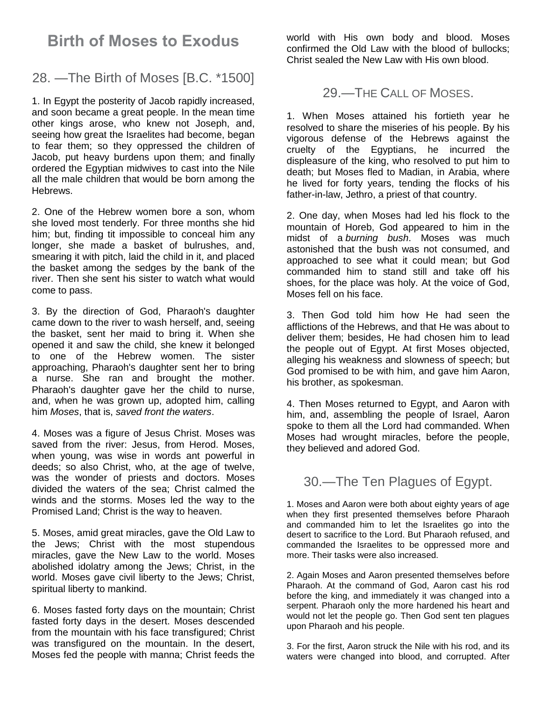# **Birth of Moses to Exodus**

### 28. —The Birth of Moses [B.C. \*1500]

1. In Egypt the posterity of Jacob rapidly increased, and soon became a great people. In the mean time other kings arose, who knew not Joseph, and, seeing how great the Israelites had become, began to fear them; so they oppressed the children of Jacob, put heavy burdens upon them; and finally ordered the Egyptian midwives to cast into the Nile all the male children that would be born among the Hebrews.

2. One of the Hebrew women bore a son, whom she loved most tenderly. For three months she hid him; but, finding tit impossible to conceal him any longer, she made a basket of bulrushes, and, smearing it with pitch, laid the child in it, and placed the basket among the sedges by the bank of the river. Then she sent his sister to watch what would come to pass.

3. By the direction of God, Pharaoh's daughter came down to the river to wash herself, and, seeing the basket, sent her maid to bring it. When she opened it and saw the child, she knew it belonged to one of the Hebrew women. The sister approaching, Pharaoh's daughter sent her to bring a nurse. She ran and brought the mother. Pharaoh's daughter gave her the child to nurse, and, when he was grown up, adopted him, calling him *Moses*, that is, *saved front the waters*.

4. Moses was a figure of Jesus Christ. Moses was saved from the river: Jesus, from Herod. Moses, when young, was wise in words ant powerful in deeds; so also Christ, who, at the age of twelve, was the wonder of priests and doctors. Moses divided the waters of the sea; Christ calmed the winds and the storms. Moses led the way to the Promised Land; Christ is the way to heaven.

5. Moses, amid great miracles, gave the Old Law to the Jews; Christ with the most stupendous miracles, gave the New Law to the world. Moses abolished idolatry among the Jews; Christ, in the world. Moses gave civil liberty to the Jews; Christ, spiritual liberty to mankind.

6. Moses fasted forty days on the mountain; Christ fasted forty days in the desert. Moses descended from the mountain with his face transfigured; Christ was transfigured on the mountain. In the desert, Moses fed the people with manna; Christ feeds the

world with His own body and blood. Moses confirmed the Old Law with the blood of bullocks; Christ sealed the New Law with His own blood.

#### 29.—THE CALL OF MOSES.

1. When Moses attained his fortieth year he resolved to share the miseries of his people. By his vigorous defense of the Hebrews against the cruelty of the Egyptians, he incurred the displeasure of the king, who resolved to put him to death; but Moses fled to Madian, in Arabia, where he lived for forty years, tending the flocks of his father-in-law, Jethro, a priest of that country.

2. One day, when Moses had led his flock to the mountain of Horeb, God appeared to him in the midst of a *burning bush*. Moses was much astonished that the bush was not consumed, and approached to see what it could mean; but God commanded him to stand still and take off his shoes, for the place was holy. At the voice of God, Moses fell on his face.

3. Then God told him how He had seen the afflictions of the Hebrews, and that He was about to deliver them; besides, He had chosen him to lead the people out of Egypt. At first Moses objected, alleging his weakness and slowness of speech; but God promised to be with him, and gave him Aaron, his brother, as spokesman.

4. Then Moses returned to Egypt, and Aaron with him, and, assembling the people of Israel, Aaron spoke to them all the Lord had commanded. When Moses had wrought miracles, before the people, they believed and adored God.

## 30.—The Ten Plagues of Egypt.

1. Moses and Aaron were both about eighty years of age when they first presented themselves before Pharaoh and commanded him to let the Israelites go into the desert to sacrifice to the Lord. But Pharaoh refused, and commanded the Israelites to be oppressed more and more. Their tasks were also increased.

2. Again Moses and Aaron presented themselves before Pharaoh. At the command of God, Aaron cast his rod before the king, and immediately it was changed into a serpent. Pharaoh only the more hardened his heart and would not let the people go. Then God sent ten plagues upon Pharaoh and his people.

3. For the first, Aaron struck the Nile with his rod, and its waters were changed into blood, and corrupted. After